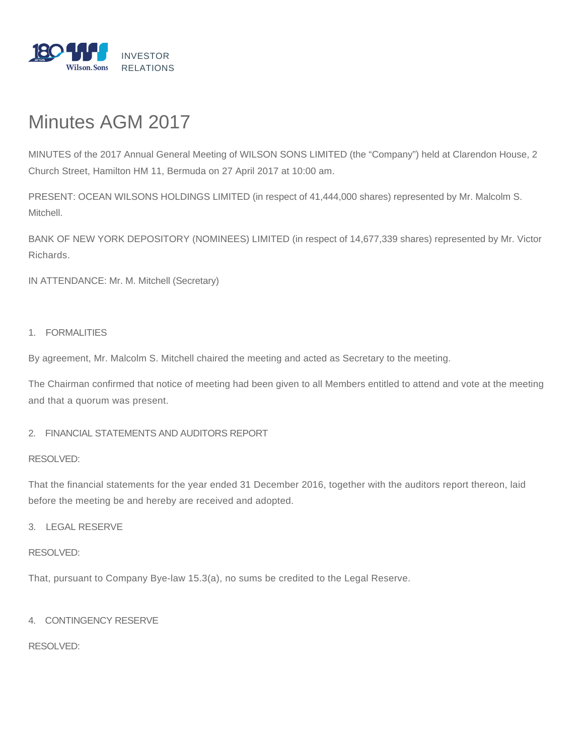

# Minutes AGM 2017

MINUTES of the 2017 Annual General Meeting of WILSON SONS LIMITED (the "Company") held at Clarendon House, 2 Church Street, Hamilton HM 11, Bermuda on 27 April 2017 at 10:00 am.

PRESENT: OCEAN WILSONS HOLDINGS LIMITED (in respect of 41,444,000 shares) represented by Mr. Malcolm S. Mitchell.

BANK OF NEW YORK DEPOSITORY (NOMINEES) LIMITED (in respect of 14,677,339 shares) represented by Mr. Victor Richards.

IN ATTENDANCE: Mr. M. Mitchell (Secretary)

## 1. FORMALITIES

By agreement, Mr. Malcolm S. Mitchell chaired the meeting and acted as Secretary to the meeting.

The Chairman confirmed that notice of meeting had been given to all Members entitled to attend and vote at the meeting and that a quorum was present.

## 2. FINANCIAL STATEMENTS AND AUDITORS REPORT

## RESOLVED:

That the financial statements for the year ended 31 December 2016, together with the auditors report thereon, laid before the meeting be and hereby are received and adopted.

## 3. LEGAL RESERVE

### RESOLVED:

That, pursuant to Company Bye-law 15.3(a), no sums be credited to the Legal Reserve.

## 4. CONTINGENCY RESERVE

RESOLVED: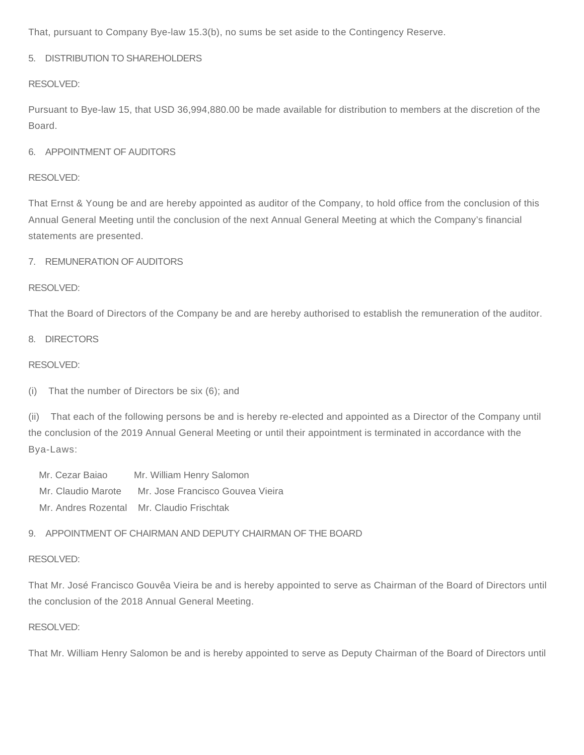That, pursuant to Company Bye-law 15.3(b), no sums be set aside to the Contingency Reserve.

## 5. DISTRIBUTION TO SHAREHOLDERS

#### RESOLVED:

Pursuant to Bye-law 15, that USD 36,994,880.00 be made available for distribution to members at the discretion of the Board.

## 6. APPOINTMENT OF AUDITORS

#### RESOLVED:

That Ernst & Young be and are hereby appointed as auditor of the Company, to hold office from the conclusion of this Annual General Meeting until the conclusion of the next Annual General Meeting at which the Company's financial statements are presented.

#### 7. REMUNERATION OF AUDITORS

#### RESOLVED:

That the Board of Directors of the Company be and are hereby authorised to establish the remuneration of the auditor.

#### 8. DIRECTORS

#### RESOLVED:

(i) That the number of Directors be six (6); and

(ii) That each of the following persons be and is hereby re-elected and appointed as a Director of the Company until the conclusion of the 2019 Annual General Meeting or until their appointment is terminated in accordance with the Bya-Laws:

 Mr. Cezar Baiao Mr. William Henry Salomon Mr. Claudio Marote Mr. Jose Francisco Gouvea Vieira Mr. Andres Rozental Mr. Claudio Frischtak

#### 9. APPOINTMENT OF CHAIRMAN AND DEPUTY CHAIRMAN OF THE BOARD

#### RESOLVED:

That Mr. José Francisco Gouvêa Vieira be and is hereby appointed to serve as Chairman of the Board of Directors until the conclusion of the 2018 Annual General Meeting.

#### RESOLVED:

That Mr. William Henry Salomon be and is hereby appointed to serve as Deputy Chairman of the Board of Directors until